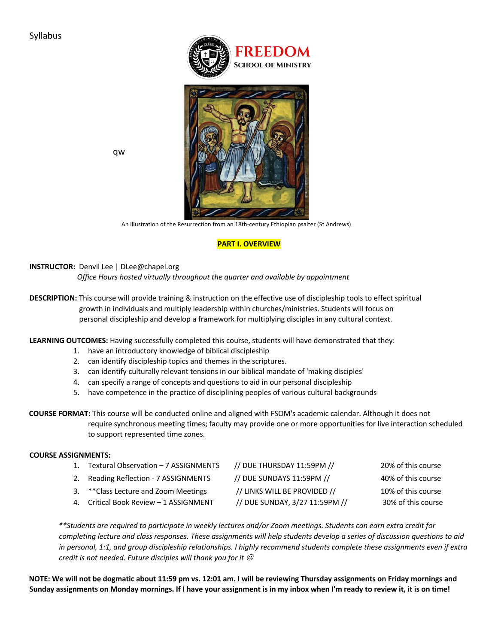



qw

An illustration of the Resurrection from an 18th-century Ethiopian psalter (St Andrews)

## **PART I. OVERVIEW**

**INSTRUCTOR:** Denvil Lee | DLee@chapel.org

 *Office Hours hosted virtually throughout the quarter and available by appointment* 

**DESCRIPTION:** This course will provide training & instruction on the effective use of discipleship tools to effect spiritual growth in individuals and multiply leadership within churches/ministries. Students will focus on personal discipleship and develop a framework for multiplying disciples in any cultural context.

**LEARNING OUTCOMES:** Having successfully completed this course, students will have demonstrated that they:

- 1. have an introductory knowledge of biblical discipleship
- 2. can identify discipleship topics and themes in the scriptures.
- 3. can identify culturally relevant tensions in our biblical mandate of 'making disciples'
- 4. can specify a range of concepts and questions to aid in our personal discipleship
- 5. have competence in the practice of disciplining peoples of various cultural backgrounds

**COURSE FORMAT:** This course will be conducted online and aligned with FSOM's academic calendar. Although it does not require synchronous meeting times; faculty may provide one or more opportunities for live interaction scheduled to support represented time zones.

### **COURSE ASSIGNMENTS:**

| 1. Textural Observation - 7 ASSIGNMENTS | // DUE THURSDAY 11:59PM //     | 20% of this course |
|-----------------------------------------|--------------------------------|--------------------|
| 2. Reading Reflection - 7 ASSIGNMENTS   | // DUE SUNDAYS 11:59PM //      | 40% of this course |
| 3. ** Class Lecture and Zoom Meetings   | // LINKS WILL BE PROVIDED //   | 10% of this course |
| 4. Critical Book Review - 1 ASSIGNMENT  | // DUE SUNDAY, 3/27 11:59PM // | 30% of this course |

*\*\*Students are required to participate in weekly lectures and/or Zoom meetings. Students can earn extra credit for completing lecture and class responses. These assignments will help students develop a series of discussion questions to aid in personal, 1:1, and group discipleship relationships. I highly recommend students complete these assignments even if extra credit is not needed. Future disciples will thank you for it*  $\mathcal O$ 

**NOTE: We will not be dogmatic about 11:59 pm vs. 12:01 am. I will be reviewing Thursday assignments on Friday mornings and Sunday assignments on Monday mornings. If I have your assignment is in my inbox when I'm ready to review it, it is on time!**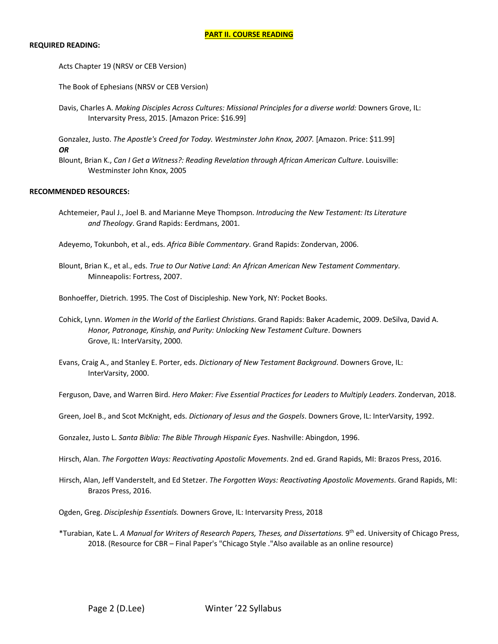#### **REQUIRED READING:**

Acts Chapter 19 (NRSV or CEB Version)

The Book of Ephesians (NRSV or CEB Version)

Davis, Charles A. *Making Disciples Across Cultures: Missional Principles for a diverse world:* Downers Grove, IL: Intervarsity Press, 2015. [Amazon Price: \$16.99]

Gonzalez, Justo. *The Apostle's Creed for Today. Westminster John Knox, 2007.* [Amazon. Price: \$11.99] *OR* 

Blount, Brian K., *Can I Get a Witness?: Reading Revelation through African American Culture*. Louisville: Westminster John Knox, 2005

#### **RECOMMENDED RESOURCES:**

Achtemeier, Paul J., Joel B. and Marianne Meye Thompson. *Introducing the New Testament: Its Literature and Theology*. Grand Rapids: Eerdmans, 2001.

Adeyemo, Tokunboh, et al., eds. *Africa Bible Commentary*. Grand Rapids: Zondervan, 2006.

Blount, Brian K., et al., eds. *True to Our Native Land: An African American New Testament Commentary*. Minneapolis: Fortress, 2007.

Bonhoeffer, Dietrich. 1995. The Cost of Discipleship. New York, NY: Pocket Books.

- Cohick, Lynn. *Women in the World of the Earliest Christians*. Grand Rapids: Baker Academic, 2009. DeSilva, David A. *Honor, Patronage, Kinship, and Purity: Unlocking New Testament Culture*. Downers Grove, IL: InterVarsity, 2000.
- Evans, Craig A., and Stanley E. Porter, eds. *Dictionary of New Testament Background*. Downers Grove, IL: InterVarsity, 2000.

Ferguson, Dave, and Warren Bird. *Hero Maker: Five Essential Practices for Leaders to Multiply Leaders*. Zondervan, 2018.

Green, Joel B., and Scot McKnight, eds. *Dictionary of Jesus and the Gospels*. Downers Grove, IL: InterVarsity, 1992.

Gonzalez, Justo L. *Santa Biblia: The Bible Through Hispanic Eyes*. Nashville: Abingdon, 1996.

Hirsch, Alan. *The Forgotten Ways: Reactivating Apostolic Movements*. 2nd ed. Grand Rapids, MI: Brazos Press, 2016.

Hirsch, Alan, Jeff Vanderstelt, and Ed Stetzer. *The Forgotten Ways: Reactivating Apostolic Movements*. Grand Rapids, MI: Brazos Press, 2016.

Ogden, Greg. *Discipleship Essentials.* Downers Grove, IL: Intervarsity Press, 2018

\*Turabian, Kate L. *A Manual for Writers of Research Papers, Theses, and Dissertations.* 9th ed. University of Chicago Press, 2018. (Resource for CBR – Final Paper's "Chicago Style ."Also available as an online resource)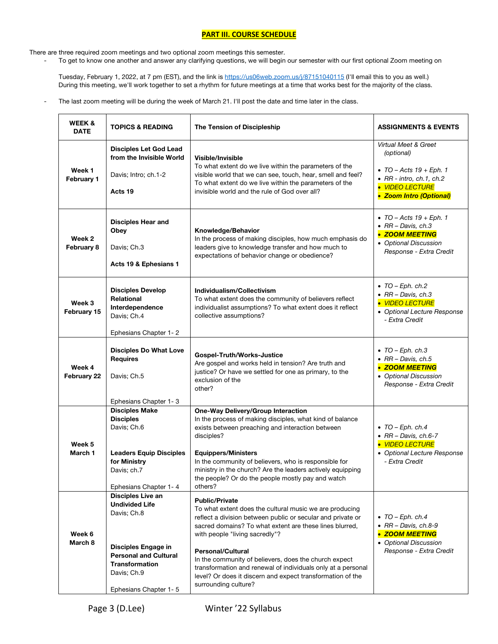### **PART III. COURSE SCHEDULE**

There are three required zoom meetings and two optional zoom meetings this semester.

To get to know one another and answer any clarifying questions, we will begin our semester with our first optional Zoom meeting on

Tuesday, February 1, 2022, at 7 pm (EST), and the link is https://us06web.zoom.us/j/87151040115 (I'll email this to you as well.) During this meeting, we'll work together to set a rhythm for future meetings at a time that works best for the majority of the class.

The last zoom meeting will be during the week of March 21. I'll post the date and time later in the class.

| <b>WEEK &amp;</b><br><b>DATE</b> | <b>TOPICS &amp; READING</b>                                                                                                                                                              | The Tension of Discipleship                                                                                                                                                                                                                                                                                                                                                                                                                                                             | <b>ASSIGNMENTS &amp; EVENTS</b>                                                                                                                         |
|----------------------------------|------------------------------------------------------------------------------------------------------------------------------------------------------------------------------------------|-----------------------------------------------------------------------------------------------------------------------------------------------------------------------------------------------------------------------------------------------------------------------------------------------------------------------------------------------------------------------------------------------------------------------------------------------------------------------------------------|---------------------------------------------------------------------------------------------------------------------------------------------------------|
| Week 1<br>February 1             | <b>Disciples Let God Lead</b><br>from the Invisible World<br>Davis; Intro; ch.1-2<br>Acts 19                                                                                             | Visible/Invisible<br>To what extent do we live within the parameters of the<br>visible world that we can see, touch, hear, smell and feel?<br>To what extent do we live within the parameters of the<br>invisible world and the rule of God over all?                                                                                                                                                                                                                                   | Virtual Meet & Greet<br>(optional)<br>$\bullet$ TO - Acts 19 + Eph. 1<br>$\bullet$ RR - intro, ch.1, ch.2<br>• VIDEO LECTURE<br>• Zoom Intro (Optional) |
| Week 2<br>February 8             | <b>Disciples Hear and</b><br>Obey<br>Davis; Ch.3<br>Acts 19 & Ephesians 1                                                                                                                | Knowledge/Behavior<br>In the process of making disciples, how much emphasis do<br>leaders give to knowledge transfer and how much to<br>expectations of behavior change or obedience?                                                                                                                                                                                                                                                                                                   | • TO – Acts $19 + Eph. 1$<br>$\bullet$ RR - Davis, ch.3<br>• ZOOM MEETING<br>• Optional Discussion<br>Response - Extra Credit                           |
| Week 3<br>February 15            | <b>Disciples Develop</b><br>Relational<br>Interdependence<br>Davis; Ch.4<br>Ephesians Chapter 1-2                                                                                        | Individualism/Collectivism<br>To what extent does the community of believers reflect<br>individualist assumptions? To what extent does it reflect<br>collective assumptions?                                                                                                                                                                                                                                                                                                            | $\bullet$ TO - Eph. ch.2<br>$\bullet$ RR - Davis, ch.3<br>• VIDEO LECTURE<br>• Optional Lecture Response<br>- Extra Credit                              |
| Week 4<br>February 22            | <b>Disciples Do What Love</b><br><b>Requires</b><br>Davis; Ch.5<br>Ephesians Chapter 1-3                                                                                                 | Gospel-Truth/Works-Justice<br>Are gospel and works held in tension? Are truth and<br>justice? Or have we settled for one as primary, to the<br>exclusion of the<br>other?                                                                                                                                                                                                                                                                                                               | $\bullet$ TO - Eph. ch.3<br>• $RR$ – Davis, ch.5<br>• ZOOM MEETING<br>• Optional Discussion<br>Response - Extra Credit                                  |
| Week 5<br>March 1                | <b>Disciples Make</b><br><b>Disciples</b><br>Davis; Ch.6<br><b>Leaders Equip Disciples</b><br>for Ministry<br>Davis; ch.7<br>Ephesians Chapter 1-4                                       | One-Way Delivery/Group Interaction<br>In the process of making disciples, what kind of balance<br>exists between preaching and interaction between<br>disciples?<br><b>Equippers/Ministers</b><br>In the community of believers, who is responsible for<br>ministry in the church? Are the leaders actively equipping<br>the people? Or do the people mostly pay and watch<br>others?                                                                                                   | $\bullet$ TO - Eph. ch.4<br>$\bullet$ RR - Davis, ch.6-7<br>• VIDEO LECTURE<br>• Optional Lecture Response<br>- Extra Credit                            |
| Week 6<br>March 8                | <b>Disciples Live an</b><br><b>Undivided Life</b><br>Davis; Ch.8<br>Disciples Engage in<br><b>Personal and Cultural</b><br><b>Transformation</b><br>Davis; Ch.9<br>Ephesians Chapter 1-5 | <b>Public/Private</b><br>To what extent does the cultural music we are producing<br>reflect a division between public or secular and private or<br>sacred domains? To what extent are these lines blurred,<br>with people "living sacredly"?<br><b>Personal/Cultural</b><br>In the community of believers, does the church expect<br>transformation and renewal of individuals only at a personal<br>level? Or does it discern and expect transformation of the<br>surrounding culture? | $\bullet$ TO - Eph. ch.4<br>$\bullet$ RR - Davis, ch.8-9<br>• ZOOM MEETING<br>• Optional Discussion<br>Response - Extra Credit                          |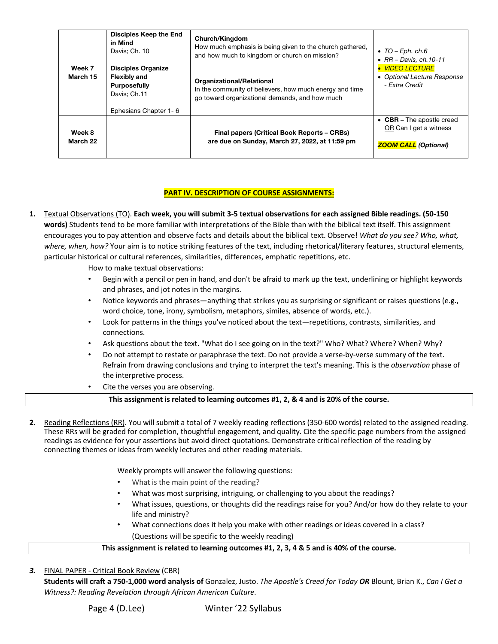| Week 7<br>March 15 | Disciples Keep the End<br>in Mind<br>Davis: Ch. 10<br><b>Disciples Organize</b><br><b>Flexibly and</b><br><b>Purposefully</b><br>Davis; Ch.11<br>Ephesians Chapter 1-6 | Church/Kingdom<br>How much emphasis is being given to the church gathered,<br>and how much to kingdom or church on mission?<br>Organizational/Relational<br>In the community of believers, how much energy and time<br>go toward organizational demands, and how much | $\bullet$ TO – Eph. ch.6<br>$\bullet$ RR - Davis, ch.10-11<br><b>VIDEO LECTURE</b><br>• Optional Lecture Response<br>- Extra Credit |
|--------------------|------------------------------------------------------------------------------------------------------------------------------------------------------------------------|-----------------------------------------------------------------------------------------------------------------------------------------------------------------------------------------------------------------------------------------------------------------------|-------------------------------------------------------------------------------------------------------------------------------------|
| Week 8<br>March 22 |                                                                                                                                                                        | <b>Final papers (Critical Book Reports - CRBs)</b><br>are due on Sunday, March 27, 2022, at 11:59 pm                                                                                                                                                                  | • $CBR$ – The apostle creed<br>OR Can I get a witness<br><b>ZOOM CALL</b> (Optional)                                                |

# **PART IV. DESCRIPTION OF COURSE ASSIGNMENTS:**

**1.** Textual Observations (TO). **Each week, you will submit 3-5 textual observations for each assigned Bible readings. (50-150 words)** Students tend to be more familiar with interpretations of the Bible than with the biblical text itself. This assignment encourages you to pay attention and observe facts and details about the biblical text. Observe! *What do you see? Who, what, where, when, how?* Your aim is to notice striking features of the text, including rhetorical/literary features, structural elements, particular historical or cultural references, similarities, differences, emphatic repetitions, etc.

How to make textual observations:

- Begin with a pencil or pen in hand, and don't be afraid to mark up the text, underlining or highlight keywords and phrases, and jot notes in the margins.
- Notice keywords and phrases—anything that strikes you as surprising or significant or raises questions (e.g., word choice, tone, irony, symbolism, metaphors, similes, absence of words, etc.).
- Look for patterns in the things you've noticed about the text—repetitions, contrasts, similarities, and connections.
- Ask questions about the text. "What do I see going on in the text?" Who? What? Where? When? Why?
- Do not attempt to restate or paraphrase the text. Do not provide a verse-by-verse summary of the text. Refrain from drawing conclusions and trying to interpret the text's meaning. This is the *observation* phase of the interpretive process.
- Cite the verses you are observing.

### **This assignment is related to learning outcomes #1, 2, & 4 and is 20% of the course.**

**2.** Reading Reflections (RR). You will submit a total of 7 weekly reading reflections (350-600 words) related to the assigned reading. These RRs will be graded for completion, thoughtful engagement, and quality. Cite the specific page numbers from the assigned readings as evidence for your assertions but avoid direct quotations. Demonstrate critical reflection of the reading by connecting themes or ideas from weekly lectures and other reading materials.

Weekly prompts will answer the following questions:

- What is the main point of the reading?
- What was most surprising, intriguing, or challenging to you about the readings?
- What issues, questions, or thoughts did the readings raise for you? And/or how do they relate to your life and ministry?
- What connections does it help you make with other readings or ideas covered in a class? (Questions will be specific to the weekly reading)

# **This assignment is related to learning outcomes #1, 2, 3, 4 & 5 and is 40% of the course.**

*3.* FINAL PAPER - Critical Book Review (CBR)

**Students will craft a 750-1,000 word analysis of** Gonzalez, Justo. *The Apostle's Creed for Today OR* Blount, Brian K., *Can I Get a Witness?: Reading Revelation through African American Culture*.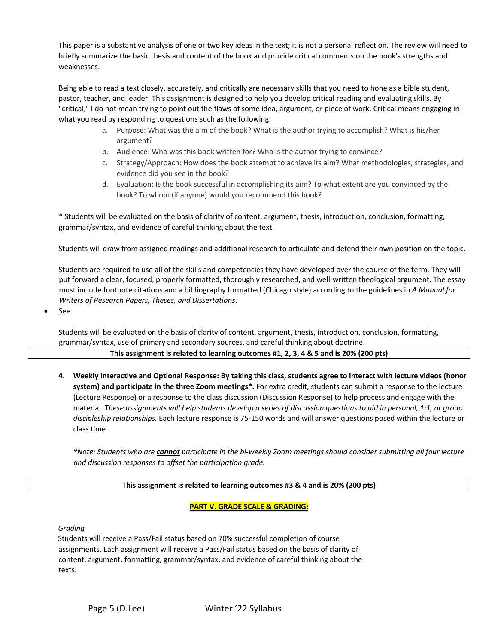This paper is a substantive analysis of one or two key ideas in the text; it is not a personal reflection. The review will need to briefly summarize the basic thesis and content of the book and provide critical comments on the book's strengths and weaknesses.

Being able to read a text closely, accurately, and critically are necessary skills that you need to hone as a bible student, pastor, teacher, and leader. This assignment is designed to help you develop critical reading and evaluating skills. By "critical," I do not mean trying to point out the flaws of some idea, argument, or piece of work. Critical means engaging in what you read by responding to questions such as the following:

- a. Purpose: What was the aim of the book? What is the author trying to accomplish? What is his/her argument?
- b. Audience: Who was this book written for? Who is the author trying to convince?
- c. Strategy/Approach: How does the book attempt to achieve its aim? What methodologies, strategies, and evidence did you see in the book?
- d. Evaluation: Is the book successful in accomplishing its aim? To what extent are you convinced by the book? To whom (if anyone) would you recommend this book?

\* Students will be evaluated on the basis of clarity of content, argument, thesis, introduction, conclusion, formatting, grammar/syntax, and evidence of careful thinking about the text.

Students will draw from assigned readings and additional research to articulate and defend their own position on the topic.

Students are required to use all of the skills and competencies they have developed over the course of the term. They will put forward a clear, focused, properly formatted, thoroughly researched, and well-written theological argument. The essay must include footnote citations and a bibliography formatted (Chicago style) according to the guidelines in *A Manual for Writers of Research Papers, Theses, and Dissertations*.

• See

Students will be evaluated on the basis of clarity of content, argument, thesis, introduction, conclusion, formatting, grammar/syntax, use of primary and secondary sources, and careful thinking about doctrine.

### **This assignment is related to learning outcomes #1, 2, 3, 4 & 5 and is 20% (200 pts)**

**4. Weekly Interactive and Optional Response: By taking this class, students agree to interact with lecture videos (honor system) and participate in the three Zoom meetings\*.** For extra credit, students can submit a response to the lecture (Lecture Response) or a response to the class discussion (Discussion Response) to help process and engage with the material. T*hese assignments will help students develop a series of discussion questions to aid in personal, 1:1, or group discipleship relationships.* Each lecture response is 75-150 words and will answer questions posed within the lecture or class time.

*\*Note: Students who are cannot participate in the bi-weekly Zoom meetings should consider submitting all four lecture and discussion responses to offset the participation grade.* 

### **This assignment is related to learning outcomes #3 & 4 and is 20% (200 pts)**

# **PART V. GRADE SCALE & GRADING:**

*Grading*

Students will receive a Pass/Fail status based on 70% successful completion of course assignments. Each assignment will receive a Pass/Fail status based on the basis of clarity of content, argument, formatting, grammar/syntax, and evidence of careful thinking about the texts.